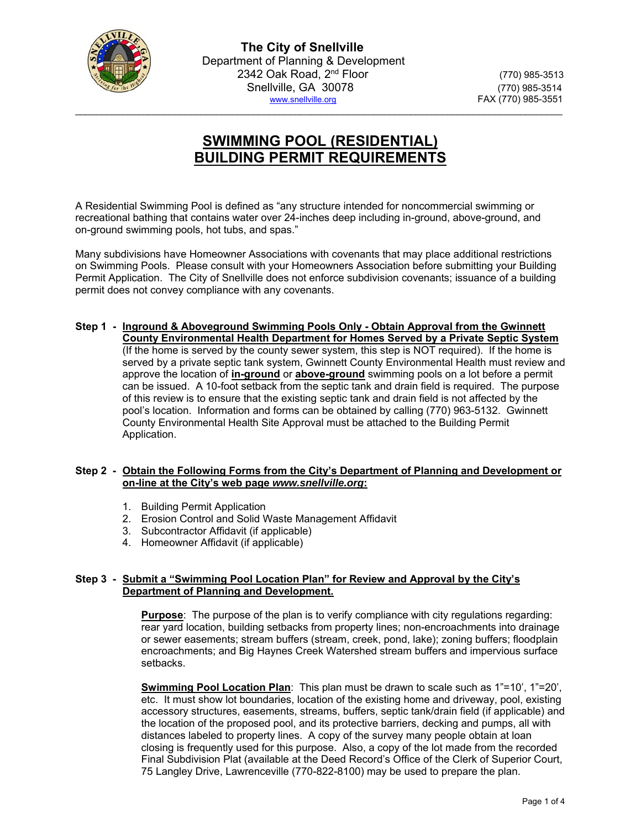

# **SWIMMING POOL (RESIDENTIAL) BUILDING PERMIT REQUIREMENTS**

 $\mathcal{L}_\mathcal{L} = \{ \mathcal{L}_\mathcal{L} = \{ \mathcal{L}_\mathcal{L} = \{ \mathcal{L}_\mathcal{L} = \{ \mathcal{L}_\mathcal{L} = \{ \mathcal{L}_\mathcal{L} = \{ \mathcal{L}_\mathcal{L} = \{ \mathcal{L}_\mathcal{L} = \{ \mathcal{L}_\mathcal{L} = \{ \mathcal{L}_\mathcal{L} = \{ \mathcal{L}_\mathcal{L} = \{ \mathcal{L}_\mathcal{L} = \{ \mathcal{L}_\mathcal{L} = \{ \mathcal{L}_\mathcal{L} = \{ \mathcal{L}_\mathcal{$ 

A Residential Swimming Pool is defined as "any structure intended for noncommercial swimming or recreational bathing that contains water over 24-inches deep including in-ground, above-ground, and on-ground swimming pools, hot tubs, and spas."

Many subdivisions have Homeowner Associations with covenants that may place additional restrictions on Swimming Pools. Please consult with your Homeowners Association before submitting your Building Permit Application. The City of Snellville does not enforce subdivision covenants; issuance of a building permit does not convey compliance with any covenants.

**Step 1 - Inground & Aboveground Swimming Pools Only - Obtain Approval from the Gwinnett County Environmental Health Department for Homes Served by a Private Septic System** (If the home is served by the county sewer system, this step is NOT required). If the home is served by a private septic tank system, Gwinnett County Environmental Health must review and approve the location of **in-ground** or **above-ground** swimming pools on a lot before a permit can be issued. A 10-foot setback from the septic tank and drain field is required. The purpose of this review is to ensure that the existing septic tank and drain field is not affected by the pool's location. Information and forms can be obtained by calling (770) 963-5132. Gwinnett County Environmental Health Site Approval must be attached to the Building Permit Application.

#### **Step 2 - Obtain the Following Forms from the City's Department of Planning and Development or on-line at the City's web page** *www.snellville.org***:**

- 1. Building Permit Application
- 2. Erosion Control and Solid Waste Management Affidavit
- 3. Subcontractor Affidavit (if applicable)
- 4. Homeowner Affidavit (if applicable)

## **Step 3 - Submit a "Swimming Pool Location Plan" for Review and Approval by the City's Department of Planning and Development.**

**Purpose**: The purpose of the plan is to verify compliance with city regulations regarding: rear yard location, building setbacks from property lines; non-encroachments into drainage or sewer easements; stream buffers (stream, creek, pond, lake); zoning buffers; floodplain encroachments; and Big Haynes Creek Watershed stream buffers and impervious surface setbacks.

**Swimming Pool Location Plan**: This plan must be drawn to scale such as 1"=10', 1"=20', etc. It must show lot boundaries, location of the existing home and driveway, pool, existing accessory structures, easements, streams, buffers, septic tank/drain field (if applicable) and the location of the proposed pool, and its protective barriers, decking and pumps, all with distances labeled to property lines. A copy of the survey many people obtain at loan closing is frequently used for this purpose. Also, a copy of the lot made from the recorded Final Subdivision Plat (available at the Deed Record's Office of the Clerk of Superior Court, 75 Langley Drive, Lawrenceville (770-822-8100) may be used to prepare the plan.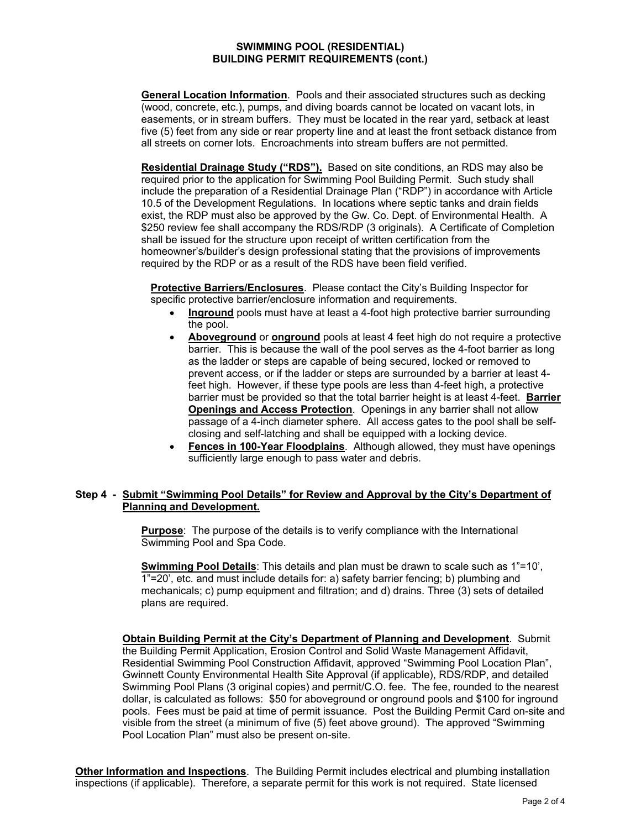#### **SWIMMING POOL (RESIDENTIAL) BUILDING PERMIT REQUIREMENTS (cont.)**

**General Location Information**. Pools and their associated structures such as decking (wood, concrete, etc.), pumps, and diving boards cannot be located on vacant lots, in easements, or in stream buffers. They must be located in the rear yard, setback at least five (5) feet from any side or rear property line and at least the front setback distance from all streets on corner lots. Encroachments into stream buffers are not permitted.

**Residential Drainage Study ("RDS").** Based on site conditions, an RDS may also be required prior to the application for Swimming Pool Building Permit. Such study shall include the preparation of a Residential Drainage Plan ("RDP") in accordance with Article 10.5 of the Development Regulations. In locations where septic tanks and drain fields exist, the RDP must also be approved by the Gw. Co. Dept. of Environmental Health. A \$250 review fee shall accompany the RDS/RDP (3 originals). A Certificate of Completion shall be issued for the structure upon receipt of written certification from the homeowner's/builder's design professional stating that the provisions of improvements required by the RDP or as a result of the RDS have been field verified.

**Protective Barriers/Enclosures**. Please contact the City's Building Inspector for specific protective barrier/enclosure information and requirements.

- **Inground** pools must have at least a 4-foot high protective barrier surrounding the pool.
- **Aboveground** or **onground** pools at least 4 feet high do not require a protective barrier. This is because the wall of the pool serves as the 4-foot barrier as long as the ladder or steps are capable of being secured, locked or removed to prevent access, or if the ladder or steps are surrounded by a barrier at least 4 feet high. However, if these type pools are less than 4-feet high, a protective barrier must be provided so that the total barrier height is at least 4-feet. **Barrier Openings and Access Protection**. Openings in any barrier shall not allow passage of a 4-inch diameter sphere. All access gates to the pool shall be selfclosing and self-latching and shall be equipped with a locking device.
- **Fences in 100-Year Floodplains**. Although allowed, they must have openings sufficiently large enough to pass water and debris.

## **Step 4 - Submit "Swimming Pool Details" for Review and Approval by the City's Department of Planning and Development.**

**Purpose**: The purpose of the details is to verify compliance with the International Swimming Pool and Spa Code.

**Swimming Pool Details**: This details and plan must be drawn to scale such as 1"=10', 1"=20', etc. and must include details for: a) safety barrier fencing; b) plumbing and mechanicals; c) pump equipment and filtration; and d) drains. Three (3) sets of detailed plans are required.

**Obtain Building Permit at the City's Department of Planning and Development**. Submit the Building Permit Application, Erosion Control and Solid Waste Management Affidavit, Residential Swimming Pool Construction Affidavit, approved "Swimming Pool Location Plan", Gwinnett County Environmental Health Site Approval (if applicable), RDS/RDP, and detailed Swimming Pool Plans (3 original copies) and permit/C.O. fee. The fee, rounded to the nearest dollar, is calculated as follows: \$50 for aboveground or onground pools and \$100 for inground pools. Fees must be paid at time of permit issuance. Post the Building Permit Card on-site and visible from the street (a minimum of five (5) feet above ground). The approved "Swimming Pool Location Plan" must also be present on-site.

**Other Information and Inspections**. The Building Permit includes electrical and plumbing installation inspections (if applicable). Therefore, a separate permit for this work is not required. State licensed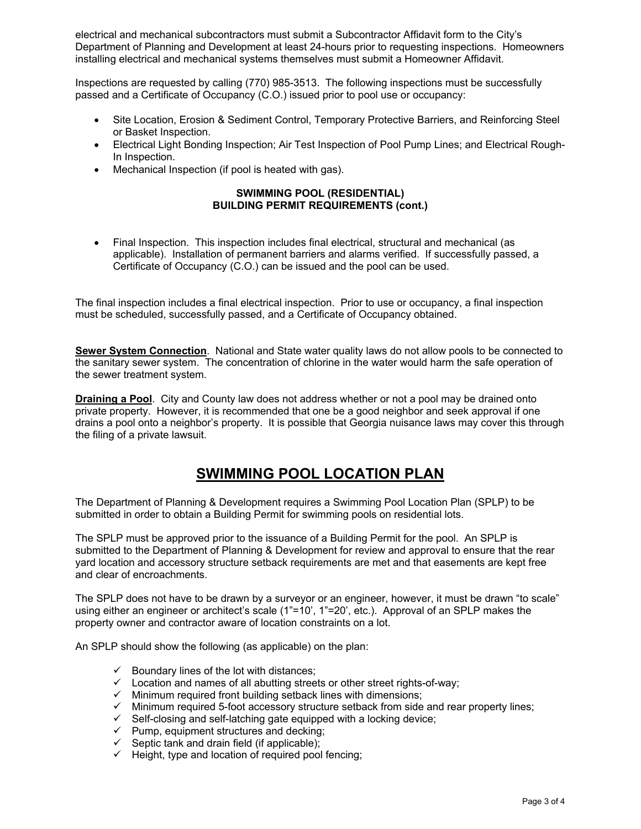electrical and mechanical subcontractors must submit a Subcontractor Affidavit form to the City's Department of Planning and Development at least 24-hours prior to requesting inspections. Homeowners installing electrical and mechanical systems themselves must submit a Homeowner Affidavit.

Inspections are requested by calling (770) 985-3513. The following inspections must be successfully passed and a Certificate of Occupancy (C.O.) issued prior to pool use or occupancy:

- Site Location, Erosion & Sediment Control, Temporary Protective Barriers, and Reinforcing Steel or Basket Inspection.
- Electrical Light Bonding Inspection; Air Test Inspection of Pool Pump Lines; and Electrical Rough-In Inspection.
- Mechanical Inspection (if pool is heated with gas).

# **SWIMMING POOL (RESIDENTIAL) BUILDING PERMIT REQUIREMENTS (cont.)**

 Final Inspection. This inspection includes final electrical, structural and mechanical (as applicable). Installation of permanent barriers and alarms verified. If successfully passed, a Certificate of Occupancy (C.O.) can be issued and the pool can be used.

The final inspection includes a final electrical inspection. Prior to use or occupancy, a final inspection must be scheduled, successfully passed, and a Certificate of Occupancy obtained.

**Sewer System Connection**. National and State water quality laws do not allow pools to be connected to the sanitary sewer system. The concentration of chlorine in the water would harm the safe operation of the sewer treatment system.

**Draining a Pool**. City and County law does not address whether or not a pool may be drained onto private property. However, it is recommended that one be a good neighbor and seek approval if one drains a pool onto a neighbor's property. It is possible that Georgia nuisance laws may cover this through the filing of a private lawsuit.

# **SWIMMING POOL LOCATION PLAN**

The Department of Planning & Development requires a Swimming Pool Location Plan (SPLP) to be submitted in order to obtain a Building Permit for swimming pools on residential lots.

The SPLP must be approved prior to the issuance of a Building Permit for the pool. An SPLP is submitted to the Department of Planning & Development for review and approval to ensure that the rear yard location and accessory structure setback requirements are met and that easements are kept free and clear of encroachments.

The SPLP does not have to be drawn by a surveyor or an engineer, however, it must be drawn "to scale" using either an engineer or architect's scale (1"=10', 1"=20', etc.). Approval of an SPLP makes the property owner and contractor aware of location constraints on a lot.

An SPLP should show the following (as applicable) on the plan:

- $\checkmark$  Boundary lines of the lot with distances;
- $\checkmark$  Location and names of all abutting streets or other street rights-of-way;
- $\checkmark$  Minimum required front building setback lines with dimensions;
- $\checkmark$  Minimum required 5-foot accessory structure setback from side and rear property lines;
- $\checkmark$  Self-closing and self-latching gate equipped with a locking device;
- $\checkmark$  Pump, equipment structures and decking;
- $\checkmark$  Septic tank and drain field (if applicable);
- $\checkmark$  Height, type and location of required pool fencing;